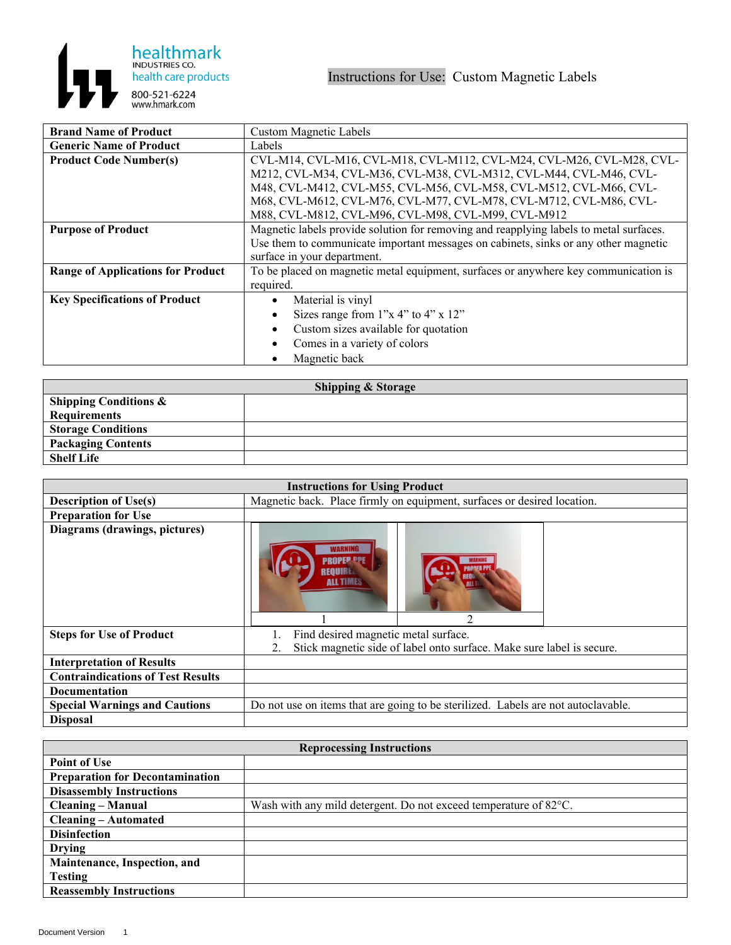

| <b>Brand Name of Product</b>             | <b>Custom Magnetic Labels</b>                                                          |
|------------------------------------------|----------------------------------------------------------------------------------------|
| <b>Generic Name of Product</b>           | Labels                                                                                 |
| <b>Product Code Number(s)</b>            | CVL-M14, CVL-M16, CVL-M18, CVL-M112, CVL-M24, CVL-M26, CVL-M28, CVL-                   |
|                                          | M212, CVL-M34, CVL-M36, CVL-M38, CVL-M312, CVL-M44, CVL-M46, CVL-                      |
|                                          | M48, CVL-M412, CVL-M55, CVL-M56, CVL-M58, CVL-M512, CVL-M66, CVL-                      |
|                                          | M68, CVL-M612, CVL-M76, CVL-M77, CVL-M78, CVL-M712, CVL-M86, CVL-                      |
|                                          | M88, CVL-M812, CVL-M96, CVL-M98, CVL-M99, CVL-M912                                     |
| <b>Purpose of Product</b>                | Magnetic labels provide solution for removing and reapplying labels to metal surfaces. |
|                                          | Use them to communicate important messages on cabinets, sinks or any other magnetic    |
|                                          | surface in your department.                                                            |
| <b>Range of Applications for Product</b> | To be placed on magnetic metal equipment, surfaces or anywhere key communication is    |
|                                          | required.                                                                              |
| <b>Key Specifications of Product</b>     | Material is vinyl                                                                      |
|                                          | Sizes range from $1"x 4"$ to $4"x 12"$                                                 |
|                                          | Custom sizes available for quotation                                                   |
|                                          | Comes in a variety of colors                                                           |
|                                          | Magnetic back                                                                          |

| <b>Shipping &amp; Storage</b>    |  |  |
|----------------------------------|--|--|
| <b>Shipping Conditions &amp;</b> |  |  |
| <b>Requirements</b>              |  |  |
| <b>Storage Conditions</b>        |  |  |
| <b>Packaging Contents</b>        |  |  |
| <b>Shelf Life</b>                |  |  |

| <b>Instructions for Using Product</b>    |                                                                                   |
|------------------------------------------|-----------------------------------------------------------------------------------|
| <b>Description of Use(s)</b>             | Magnetic back. Place firmly on equipment, surfaces or desired location.           |
| <b>Preparation for Use</b>               |                                                                                   |
| Diagrams (drawings, pictures)            | <b>PROPEP PP</b><br>REOUIRE<br><b>ALL TIMES</b>                                   |
| <b>Steps for Use of Product</b>          | Find desired magnetic metal surface.                                              |
|                                          | Stick magnetic side of label onto surface. Make sure label is secure.             |
| <b>Interpretation of Results</b>         |                                                                                   |
| <b>Contraindications of Test Results</b> |                                                                                   |
| Documentation                            |                                                                                   |
| <b>Special Warnings and Cautions</b>     | Do not use on items that are going to be sterilized. Labels are not autoclavable. |
| <b>Disposal</b>                          |                                                                                   |

| <b>Reprocessing Instructions</b>       |                                                                   |
|----------------------------------------|-------------------------------------------------------------------|
| <b>Point of Use</b>                    |                                                                   |
| <b>Preparation for Decontamination</b> |                                                                   |
| <b>Disassembly Instructions</b>        |                                                                   |
| <b>Cleaning – Manual</b>               | Wash with any mild detergent. Do not exceed temperature of 82 °C. |
| <b>Cleaning – Automated</b>            |                                                                   |
| <b>Disinfection</b>                    |                                                                   |
| <b>Drying</b>                          |                                                                   |
| Maintenance, Inspection, and           |                                                                   |
| <b>Testing</b>                         |                                                                   |
| <b>Reassembly Instructions</b>         |                                                                   |